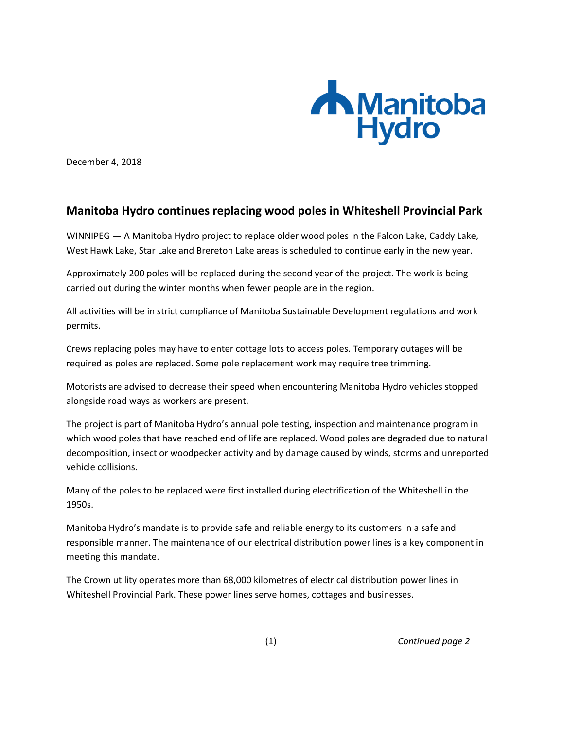

December 4, 2018

## **Manitoba Hydro continues replacing wood poles in Whiteshell Provincial Park**

WINNIPEG — A Manitoba Hydro project to replace older wood poles in the Falcon Lake, Caddy Lake, West Hawk Lake, Star Lake and Brereton Lake areas is scheduled to continue early in the new year.

Approximately 200 poles will be replaced during the second year of the project. The work is being carried out during the winter months when fewer people are in the region.

All activities will be in strict compliance of Manitoba Sustainable Development regulations and work permits.

Crews replacing poles may have to enter cottage lots to access poles. Temporary outages will be required as poles are replaced. Some pole replacement work may require tree trimming.

Motorists are advised to decrease their speed when encountering Manitoba Hydro vehicles stopped alongside road ways as workers are present.

The project is part of Manitoba Hydro's annual pole testing, inspection and maintenance program in which wood poles that have reached end of life are replaced. Wood poles are degraded due to natural decomposition, insect or woodpecker activity and by damage caused by winds, storms and unreported vehicle collisions.

Many of the poles to be replaced were first installed during electrification of the Whiteshell in the 1950s.

Manitoba Hydro's mandate is to provide safe and reliable energy to its customers in a safe and responsible manner. The maintenance of our electrical distribution power lines is a key component in meeting this mandate.

The Crown utility operates more than 68,000 kilometres of electrical distribution power lines in Whiteshell Provincial Park. These power lines serve homes, cottages and businesses.

(1) *Continued page 2*